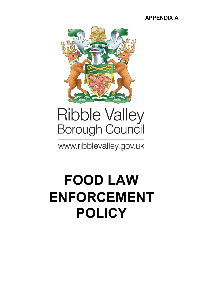### **APPENDIX A**



# Ribble Valley<br>Borough Council

www.ribblevalley.gov.uk

## **FOOD LAW ENFORCEMENT POLICY**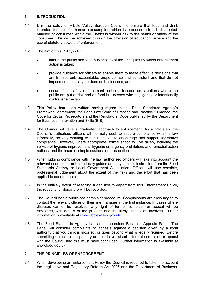#### **1. INTRODUCTION**

- 1.1 It is the policy of Ribble Valley Borough Council to ensure that food and drink intended for sale for human consumption which is produced, stored, distributed, handled or consumed within the District is without risk to the health or safety of the consumer. This will be achieved through the provision of education, advice and the use of statutory powers of enforcement.
- 1.2 The aim of this Policy is to:
	- inform the public and food businesses of the principles by which enforcement action is taken;
	- provide guidance for officers to enable them to make effective decisions that are transparent, accountable, proportionate and consistent and that do not impose unnecessary burdens on businesses; and
	- ensure food safety enforcement action is focused on situations where the public are put at risk and on food businesses who negligently or intentionally contravene the law.
- 1.3 This Policy has been written having regard to the Food Standards Agency's Framework Agreement; the Food Law Code of Practice and Practice Guidance, the Code for Crown Prosecutors and the Regulators' Code published by the Department for Business, Innovation and Skills (BIS).
- 1.4 The Council will take a graduated approach to enforcement. As a first step, the Council's authorised officers will normally seek to secure compliance with the law informally, actively working with businesses to encourage and support legislative compliance. However, where appropriate, formal action will be taken, including the service of hygiene improvement, hygiene emergency prohibition, and remedial action notices, and the issue of simple cautions or prosecution.
- 1.5 When judging compliance with the law, authorised officers will take into account the relevant codes of practice, industry guides and any specific instruction from the Food Standards Agency or Local Government Association. Officers will use sensible, professional judgement about the extent of the risks and the effort that has been applied to counter them.
- 1.6 In the unlikely event of reaching a decision to depart from this Enforcement Policy, the reasons for departure will be recorded.
- 1.7 The Council has a publicised complaint procedure. Complainants are encouraged to contact the relevant officer or their line manager in the first instance. In cases where disputes cannot be resolved, any right of further complaint or appeal will be explained, with details of the process and the likely timescales involved. Further information is available at [www.ribblevalley.gov.uk](http://www.ribblevalley.gov.uk/)
- 1.8 The Food Standards Agency has an Independent Business Appeals Panel. The Panel will consider complaints or appeals against a decision given by a local authority that you think is incorrect or goes beyond what is legally required. Before submitting details to the panel you must have raised a formal complaint or appeal with the Council and this must have concluded. Further information is available at [www.food.gov.uk](http://www.food.gov.uk/)

#### **2. THE PRINCIPLES OF ENFORCEMENT**

2.1 When developing an Enforcement Policy the Council is required to take into account the Legislative and Regulatory Reform Act 2006 and the Department of Business,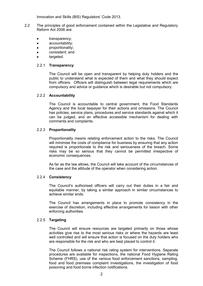Innovation and Skills (BIS) Regulators' Code 2013.

- 2.2 The principles of good enforcement contained within the Legislative and Regulatory Reform Act 2006 are:
	- transparency;
	- **•** accountability;
	- **proportionality:**
	- consistent; and
	- targeted.

#### 2.2.1 **Transparency**

The Council will be open and transparent by helping duty holders and the public to understand what is expected of them and what they should expect from officers. Officers will distinguish between legal requirements which are compulsory and advice or guidance which is desirable but not compulsory.

#### 2.2.2 **Accountability**

The Council is accountable to central government, the Food Standards Agency and the local taxpayer for their actions and omissions. The Council has policies, service plans, procedures and service standards against which it can be judged, and an effective accessible mechanism for dealing with comments and complaints.

#### 2.2.3 **Proportionality**

Proportionality means relating enforcement action to the risks. The Council will minimise the costs of compliance for business by ensuring that any action required is proportionate to the risk and seriousness of the breach. Some risks may be so serious that they cannot be permitted irrespective of economic consequences.

As far as the law allows, the Council will take account of the circumstances of the case and the attitude of the operator when considering action.

#### 2.2.4 **Consistency**

The Council's authorised officers will carry out their duties in a fair and equitable manner, by taking a similar approach in similar circumstances to achieve similar ends.

The Council has arrangements in place to promote consistency in the exercise of discretion, including effective arrangements for liaison with other enforcing authorities.

#### 2.2.5 **Targeting**

The Council will ensure resources are targeted primarily on those whose activities give rise to the most serious risks or where the hazards are least well controlled and will ensure that action is focused on the duty holders who are responsible for the risk and who are best placed to control it.

The Council follows a national risk rating system for interventions. Separate procedures are available for inspections, the national Food Hygiene Rating Scheme (FHRS), use of the various food enforcement sanctions, sampling, food and food premises complaint investigations, the investigation of food poisoning and food borne infection notifications.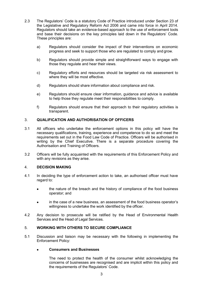- 2.3 The Regulators' Code is a statutory Code of Practice introduced under Section 23 of the Legislative and Regulatory Reform Act 2006 and came into force in April 2014. Regulators should take an evidence-based approach to the use of enforcement tools and base their decisions on the key principles laid down in the Regulators' Code. These principles are:
	- a) Regulators should consider the impact of their interventions on economic progress and seek to support those who are regulated to comply and grow.
	- b) Regulators should provide simple and straightforward ways to engage with those they regulate and hear their views.
	- c) Regulatory efforts and resources should be targeted via risk assessment to where they will be most effective.
	- d) Regulators should share information about compliance and risk.
	- e) Regulators should ensure clear information, guidance and advice is available to help those they regulate meet their responsibilities to comply.
	- f) Regulators should ensure that their approach to their regulatory activities is transparent.

#### 3. **QUALIFICATION AND AUTHORISATION OF OFFICERS**

- 3.1 All officers who undertake the enforcement options in this policy will have the necessary qualifications, training, experience and competence to do so and meet the requirements set out in the Food Law Code of Practice. Officers will be authorised in writing by the Chief Executive. There is a separate procedure covering the Authorisation and Training of Officers.
- 3.2 Officers will be fully acquainted with the requirements of this Enforcement Policy and with any revisions as they arise.

#### 4. **DECISION MAKING**

- 4.1 In deciding the type of enforcement action to take, an authorised officer must have regard to:
	- the nature of the breach and the history of compliance of the food business operator; and
	- in the case of a new business, an assessment of the food business operator's willingness to undertake the work identified by the officer.
- 4.2 Any decision to prosecute will be ratified by the Head of Environmental Health Services and the Head of Legal Services.

#### 5. **WORKING WITH OTHERS TO SECURE COMPLIANCE**

5.1 Discussion and liaison may be necessary with the following in implementing the Enforcement Policy:

#### **Consumers and Businesses**

The need to protect the health of the consumer whilst acknowledging the concerns of businesses are recognised and are implicit within this policy and the requirements of the Regulators' Code.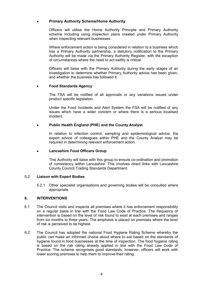#### **Primary Authority Scheme/Home Authority**

Officers will utilise the Home Authority Principle and Primary Authority scheme including using inspection plans created under Primary Authority when inspecting relevant businesses.

Where enforcement action is being considered in relation to a business which has a Primary Authority partnership, a statutory notification to the Primary Authority will be made via the Primary Authority Register, with the exception of circumstances where the need to act swiftly is critical.

Officers will liaise with the Primary Authority during the early stages of an investigation to determine whether Primary Authority advice has been given, and whether the business has followed it.

#### **Food Standards Agency**

The FSA will be notified of all approvals or any variations issued under product specific legislation.

Under the Food Incidents and Alert System the FSA will be notified of any issues which have a wider concern or where there is a serious localised incident.

#### **Public Health England (PHE) and the County Analyst**

In relation to infection control, sampling and epidemiological advice, the expert advice of colleagues within PHE and the County Analyst may be required in determining relevant enforcement action.

#### **Lancashire Food Officers Group**

This Authority will liaise with this group to ensure co-ordination and promotion of consistency within Lancashire. This involves direct links with Lancashire County Council Trading Standards Department.

#### 5.2 **Liaison with Expert Bodies**

5.2.1 Other specialist organisations and governing bodies will be consulted where appropriate.

#### **6. INTERVENTIONS**

- 6.1 The Council visits and inspects all premises where it has enforcement responsibility on a regular basis in line with the Food Law Code of Practice. The frequency of intervention is based on the level of risk found to exist at each premises and ranges from six months to three years. The emphasis is placed on premises where the level of risk is perceived to be highest.
- 6.2 The Council has adopted the national Food Hygiene Rating Scheme whereby the public can make an informed choice about where to eat based on the standards of hygiene found in food businesses at the time of inspection. The food hygiene rating is based on the risk rating already applied in line with the Food Law Code of Practice. The scheme recognises good standards; however, officers will work with lower scoring premises to help them to improve their rating.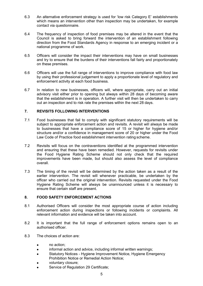- 6.3 An alternative enforcement strategy is used for 'low risk Category E' establishments which means an intervention other than inspection may be undertaken, for example contact via questionnaire.
- 6.4 The frequency of inspection of food premises may be altered in the event that the Council is asked to bring forward the intervention of an establishment following direction from the Food Standards Agency in response to an emerging incident or a national programme of work.
- 6.5 Officers will consider the impact their interventions may have on small businesses and try to ensure that the burdens of their interventions fall fairly and proportionately on these premises.
- 6.6 Officers will use the full range of interventions to improve compliance with food law by using their professional judgement to apply a proportionate level of regulatory and enforcement activity at each food business.
- 6.7 In relation to new businesses, officers will, where appropriate, carry out an initial advisory visit either prior to opening but always within 28 days of becoming aware that the establishment is in operation. A further visit will then be undertaken to carry out an inspection and to risk rate the premises within the next 28 days.

#### **7. REVISITS FOLLOWING INTERVENTIONS**

- 7.1 Food businesses that fail to comply with significant statutory requirements will be subject to appropriate enforcement action and revisits. A revisit will always be made to businesses that have a compliance score of 15 or higher for hygiene and/or structure and/or a confidence in management score of 20 or higher under the Food Law Code of Practice food establishment intervention rating scheme.
- 7.2 Revisits will focus on the contraventions identified at the programmed intervention and ensuring that these have been remedied. However, requests for revisits under the Food Hygiene Rating Scheme should not only check that the required improvements have been made, but should also assess the level of compliance overall.
- 7.3 The timing of the revisit will be determined by the action taken as a result of the earlier intervention. The revisit will whenever practicable, be undertaken by the officer who carried out the original intervention. Revisits requested under the Food Hygiene Rating Scheme will always be unannounced unless it is necessary to ensure that certain staff are present.

#### **8. FOOD SAFETY ENFORCEMENT ACTIONS**

- 8.1 Authorised Officers will consider the most appropriate course of action including enforcement action during inspections or following incidents or complaints. All relevant information and evidence will be taken into account.
- 8.2 It is important that the full range of enforcement options remains open to an authorised officer.
- 8.3 The choices of action are:
	- no action;
	- informal action and advice, including informal written warnings;
	- **•** Statutory Notices Hygiene Improvement Notice, Hygiene Emergency Prohibition Notice or Remedial Action Notice;
	- voluntary closure;
	- Service of Regulation 29 Certificate;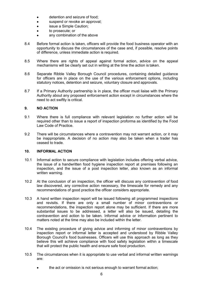- **•** detention and seizure of food:
- suspend or revoke an approval;
- issue a Simple Caution;
- to prosecute; or
- any combination of the above
- 8.4 Before formal action is taken, officers will provide the food business operator with an opportunity to discuss the circumstances of the case and, if possible, resolve points of difference, unless immediate action is required.
- 8.5 Where there are rights of appeal against formal action, advice on the appeal mechanisms will be clearly set out in writing at the time the action is taken.
- 8.6 Separate Ribble Valley Borough Council procedures, containing detailed guidance for officers are in place on the use of the various enforcement options, including statutory notices, detention and seizure, voluntary closure and approvals.
- 8.7 If a Primary Authority partnership is in place, the officer must liaise with the Primary Authority about any proposed enforcement action except in circumstances where the need to act swiftly is critical.

#### **9. NO ACTION**

- 9.1 Where there is full compliance with relevant legislation no further action will be required other than to issue a report of inspection proforma as identified by the Food Law Code of Practice.
- 9.2 There will be circumstances where a contravention may not warrant action, or it may be inappropriate. A decision of no action may also be taken when a trader has ceased to trade.

#### **10. INFORMAL ACTION**

- 10.1 Informal action to secure compliance with legislation includes offering verbal advice, the issue of a handwritten food hygiene inspection report at premises following an inspection, and the issue of a post inspection letter, also known as an informal written warning.
- 10.2 At the conclusion of an inspection, the officer will discuss any contravention of food law discovered, any corrective action necessary, the timescale for remedy and any recommendations of good practice the officer considers appropriate.
- 10.3 A hand written inspection report will be issued following all programmed inspections and revisits. If there are only a small number of minor contraventions or recommendations, the inspection report alone may be sufficient. If there are more substantial issues to be addressed, a letter will also be issued, detailing the contravention and action to be taken. Informal advice or information pertinent to matters noted at the time may also be included within the letter.
- 10.4 The existing procedure of giving advice and informing of minor contraventions by inspection report or informal letter is accepted and understood by Ribble Valley Borough Council's food businesses. Officers will use this approach as long as they believe this will achieve compliance with food safety legislation within a timescale that will protect the public health and ensure safe food production.
- 10.5 The circumstances when it is appropriate to use verbal and informal written warnings are:
	- the act or omission is not serious enough to warrant formal action;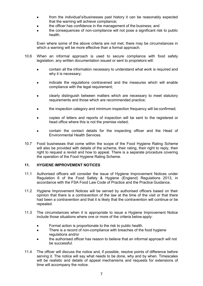- from the individual's/businesses past history it can be reasonably expected that the warning will achieve compliance;
- the officer has confidence in the management of the business; and
- the consequences of non-compliance will not pose a significant risk to public health.

Even where some of the above criteria are not met, there may be circumstances in which a warning will be more effective than a formal approach.

- 10.6 When an informal approach is used to secure compliance with food safety legislation, any written documentation issued or sent to proprietors will:
	- contain all the information necessary to understand what work is required and why it is necessary;
	- indicate the regulations contravened and the measures which will enable compliance with the legal requirement;
	- clearly distinguish between matters which are necessary to meet statutory requirements and those which are recommended practice;
	- the inspection category and minimum inspection frequency will be confirmed;
	- copies of letters and reports of inspection will be sent to the registered or head office where this is not the premise visited;
	- contain the contact details for the inspecting officer and the Head of Environmental Health Services.
- 10.7 Food businesses that come within the scope of the Food Hygiene Rating Scheme will also be provided with details of the scheme, their rating, their right to reply, their right to request a revisit and how to appeal. There is a separate procedure covering the operation of the Food Hygiene Rating Scheme.

#### **11. HYGIENE IMPROVEMENT NOTICES**

- 11.1 Authorised officers will consider the issue of Hygiene Improvement Notices under Regulation 6 of the Food Safety & Hygiene (England) Regulations 2013, in accordance with the FSA Food Law Code of Practice and the Practice Guidance.
- 11.2 Hygiene Improvement Notices will be served by authorised officers based on their opinion that there is a contravention of the law at the time of the visit or that there had been a contravention and that it is likely that the contravention will continue or be repeated.
- 11.3 The circumstances when it is appropriate to issue a Hygiene Improvement Notice include those situations where one or more of the criteria below apply:
	- Formal action is proportionate to the risk to public health.
	- There is a record of non-compliance with breaches of the food hygiene regulations and/or
	- the authorised officer has reason to believe that an informal approach will not be successful.
- 11.4 The officer will discuss the notice and, if possible, resolve points of difference before serving it. The notice will say what needs to be done, why and by when. Timescales will be realistic and details of appeal mechanisms and requests for extensions of time will accompany the notice.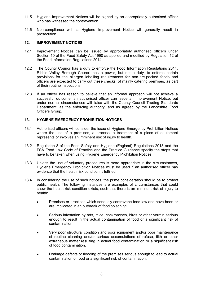- 11.5 Hygiene Improvement Notices will be signed by an appropriately authorised officer who has witnessed the contravention.
- 11.6 Non-compliance with a Hygiene Improvement Notice will generally result in prosecution.

#### **12. IMPROVEMENT NOTICES**

- 12.1 Improvement Notices can be issued by appropriately authorised officers under Section 10 of the Food Safety Act 1990 as applied and modified by Regulation 12 of the Food Information Regulations 2014.
- 12.2 The County Council has a duty to enforce the Food Information Regulations 2014. Ribble Valley Borough Council has a power, but not a duty, to enforce certain provisions for the allergen labelling requirements for non-pre-packed foods and officers are expected to carry out these checks, of mainly catering premises, as part of their routine inspections.
- 12.3 If an officer has reason to believe that an informal approach will not achieve a successful outcome, an authorised officer can issue an Improvement Notice, but under normal circumstances will liaise with the County Council Trading Standards Department, as the enforcing authority, and as agreed by the Lancashire Food Officers Group.

#### **13. HYGIENE EMERGENCY PROHIBITION NOTICES**

- 13.1 Authorised officers will consider the issue of Hygiene Emergency Prohibition Notices where the use of a premises, a process, a treatment of a piece of equipment represents or involves an imminent risk of injury to health.
- 13.2 Regulation 8 of the Food Safety and Hygiene (England) Regulations 2013 and the FSA Food Law Code of Practice and the Practice Guidance specify the steps that have to be taken when using Hygiene Emergency Prohibition Notices.
- 13.3 Unless the use of voluntary procedures is more appropriate in the circumstances, Hygiene Emergency Prohibition Notices must be used if an authorised officer has evidence that the health risk condition is fulfilled.
- 13.4 In considering the use of such notices, the prime consideration should be to protect public health. The following instances are examples of circumstances that could show the health risk condition exists, such that there is an imminent risk of injury to health:
	- Premises or practices which seriously contravene food law and have been or are implicated in an outbreak of food poisoning.
	- Serious infestation by rats, mice, cockroaches, birds or other vermin serious enough to result in the actual contamination of food or a significant risk of contamination.
	- Very poor structural condition and poor equipment and/or poor maintenance of routine cleaning and/or serious accumulations of refuse, filth or other extraneous matter resulting in actual food contamination or a significant risk of food contamination.
	- Drainage defects or flooding of the premises serious enough to lead to actual contamination of food or a significant risk of contamination.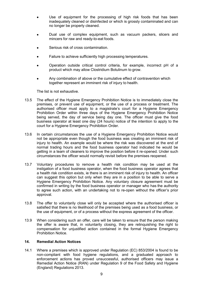- Use of equipment for the processing of high risk foods that has been inadequately cleaned or disinfected or which is grossly contaminated and can no longer be properly cleaned.
- Dual use of complex equipment, such as vacuum packers, slicers and mincers for raw and ready-to-eat foods.
- Serious risk of cross contamination.
- Failure to achieve sufficiently high processing temperatures.
- Operation outside critical control criteria, for example, incorrect pH of a product which may allow Clostridium Botulinum to grow.
- Any combination of above or the cumulative effect of contravention which together represent an imminent risk of injury to health.

The list is not exhaustive.

- 13.5 The effect of the Hygiene Emergency Prohibition Notice is to immediately close the premises, or prevent use of equipment, or the use of a process or treatment. The authorised officer must apply to a magistrate's court for a Hygiene Emergency Prohibition Order within three days of the Hygiene Emergency Prohibition Notice being served, the day of service being day one. The officer must give the food business operator at least one day (24 hours) notice of the intention to apply to the court for a Hygiene Emergency Prohibition Order.
- 13.6 In certain circumstances the use of a Hygiene Emergency Prohibition Notice would not be appropriate even though the food business was creating an imminent risk of injury to health. An example would be where the risk was discovered at the end of normal trading hours and the food business operator had indicated he would be getting in a team of cleaners to improve the position before it re-opened. Under such circumstances the officer would normally revisit before the premises reopened.
- 13.7 Voluntary procedures to remove a health risk condition may be used at the instigation of a food business operator, when the food business operator agrees that a health risk condition exists, ie there is an imminent risk of injury to health. An officer can suggest this option but only when they are in a position to be able to serve a Hygiene Emergency Prohibition Notice. Any voluntary closure agreement must be confirmed in writing by the food business operator or manager who has the authority to agree such action, with an undertaking not to re-open without the officer's prior approval.
- 13.8 The offer to voluntarily close will only be accepted where the authorised officer is satisfied that there is no likelihood of the premises being used as a food business, or the use of equipment, or of a process without the express agreement of the officer.
- 13.9 When considering such an offer, care will be taken to ensure that the person making the offer is aware that, in voluntarily closing, they are relinquishing the right to compensation for unjustified action contained in the formal Hygiene Emergency Prohibition Notice.

#### **14. Remedial Action Notices**

14.1 Where a premises which is approved under Regulation (EC) 853/2004 is found to be non-compliant with food hygiene regulations, and a graduated approach to enforcement actions has proved unsuccessful, authorised officers may issue a Remedial Action Notice (RAN) under Regulation 9 of the Food Safety and Hygiene (England) Regulations 2013.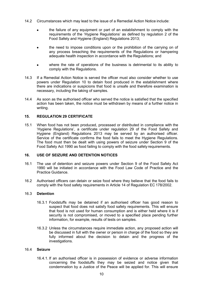- 14.2 Circumstances which may lead to the issue of a Remedial Action Notice include:
	- the failure of any equipment or part of an establishment to comply with the requirements of the 'Hygiene Regulations' as defined by regulation 2 of the Food Safety and Hygiene (England) Regulations 2013;
	- the need to impose conditions upon or the prohibition of the carrying on of any process breaching the requirements of the Regulations or hampering adequate health inspection in accordance with the Regulations; and
	- where the rate of operations of the business is detrimental to its ability to comply with the Regulations.
- 14.3 If a Remedial Action Notice is served the officer must also consider whether to use powers under Regulation 10 to detain food produced in the establishment where there are indications or suspicions that food is unsafe and therefore examination is necessary, including the taking of samples.
- 14.4 As soon as the authorised officer who served the notice is satisfied that the specified action has been taken, the notice must be withdrawn by means of a further notice in writing.

#### **15. REGULATION 29 CERTIFICATE**

15.1 When food has not been produced, processed or distributed in compliance with the 'Hygiene Regulations', a certificate under regulation 29 of the Food Safety and Hygiene (England) Regulations 2013 may be served by an authorised officer. Service of the certificate confirms the food fails to meet the Hygiene Regulations. The food must then be dealt with using powers of seizure under Section 9 of the Food Safety Act 1990 as food failing to comply with the food safety requirements.

#### **16. USE OF SEIZURE AND DETENTION NOTICES**

- 16.1 The use of detention and seizure powers under Section 9 of the Food Safety Act 1990 will be initiated in accordance with the Food Law Code of Practice and the Practice Guidance.
- 16.2 Authorised officers can detain or seize food where they believe that the food fails to comply with the food safety requirements in Article 14 of Regulation EC 178/2002.

#### 16.3 **Detention**

- 16.3.1 Foodstuffs may be detained if an authorised officer has good reason to suspect that food does not satisfy food safety requirements. This will ensure that food is not used for human consumption and is either held where it is if security is not compromised, or moved to a specified place pending further information, for example, results of tests on samples.
- 16.3.2 Unless the circumstances require immediate action, any proposed action will be discussed in full with the owner or person in charge of the food so they are fully informed about the decision to detain and the progress of the investigations.

#### 16.4 **Seizure**

16.4.1. If an authorised officer is in possession of evidence or adverse information concerning the foodstuffs they may be seized and notice given that condemnation by a Justice of the Peace will be applied for. This will ensure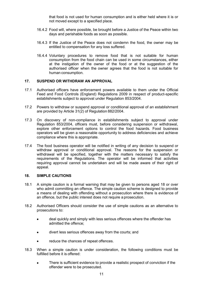that food is not used for human consumption and is either held where it is or not moved except to a specified place.

- 16.4.2 Food will, where possible, be brought before a Justice of the Peace within two days and perishable foods as soon as possible.
- 16.4.3 If the Justice of the Peace does not condemn the food, the owner may be entitled to compensation for any loss suffered.
- 16.4.4 Voluntary procedures to remove food that is not suitable for human consumption from the food chain can be used in some circumstances, either at the instigation of the owner of the food or at the suggestion of the authorised officer when the owner agrees that the food is not suitable for human consumption.

#### **17. SUSPEND OR WITHDRAW AN APPROVAL**

- 17.1 Authorised officers have enforcement powers available to them under the Official Feed and Food Controls (England) Regulations 2009 in respect of product-specific establishments subject to approval under Regulation 853/2004.
- 17.2 Powers to withdraw or suspend approval or conditional approval of an establishment are provided by Article 31(2) of Regulation 882/2004.
- 17.3 On discovery of non-compliance in establishments subject to approval under Regulation 853/2004, officers must, before considering suspension or withdrawal, explore other enforcement options to control the food hazards. Food business operators will be given a reasonable opportunity to address deficiencies and achieve compliance where this is appropriate.
- 17.4 The food business operator will be notified in writing of any decision to suspend or withdraw approval or conditional approval. The reasons for the suspension or withdrawal will be specified, together with the matters necessary to satisfy the requirements of the Regulations. The operator will be informed that activities requiring approval cannot be undertaken and will be made aware of their right of appeal.

#### **18. SIMPLE CAUTIONS**

- 18.1 A simple caution is a formal warning that may be given to persons aged 18 or over who admit committing an offence. The simple caution scheme is designed to provide a means of dealing with offending without a prosecution where there is evidence of an offence, but the public interest does not require a prosecution.
- 18.2 Authorised Officers should consider the use of simple cautions as an alternative to prosecutions to:
	- deal quickly and simply with less serious offences where the offender has admitted the offence;
	- divert less serious offences away from the courts; and
	- reduce the chances of repeat offences.
- 18.3 When a simple caution is under consideration, the following conditions must be fulfilled before it is offered:
	- There is sufficient evidence to provide a realistic prospect of conviction if the offender were to be prosecuted.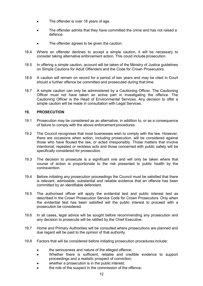- The offender is over 18 years of age.
- The offender admits that they have committed the crime and has not raised a defence.
- The offender agrees to be given the caution.
- 18.4 Where an offender declines to accept a simple caution, it will be necessary to consider taking alternative enforcement action. This could include prosecution.
- 18.5 In offering a simple caution, account will be taken of the Ministry of Justice guidelines on Simple Cautions for Adult Offenders and the Code for Crown Prosecutors.
- 18.6 A caution will remain on record for a period of two years and may be cited in Court should a further offence be committed and prosecuted during that time.
- 18.7 A simple caution can only be administered by a Cautioning Officer. The Cautioning Officer must not have taken an active part in investigating the offence. The Cautioning Officer is the Head of Environmental Services. Any decision to offer a simple caution will be made in consultation with Legal Services.

#### **19. PROSECUTION**

- 19.1 Prosecution may be considered as an alternative, in addition to, or as a consequence of failure to comply with the above enforcement procedures.
- 19.2 The Council recognises that most businesses wish to comply with the law. However, there are occasions when action, including prosecution, will be considered against those who have flouted the law, or acted irresponsibly. Those matters that involve intentional, repeated or reckless acts and those concerned with public safety will be specifically considered for prosecution.
- 19.3 The decision to prosecute is a significant one and will only be taken where that course of action is proportionate to the risk presented to public health by the contravention.
- 19.4 Before initiating any prosecution proceedings the Council must be satisfied that there is relevant, admissible, substantial and reliable evidence that an offence has been committed by an identifiable defendant.
- 19.5 The authorised officer will apply the evidential test and public interest test as described in the Crown Prosecution Service Code for Crown Prosecutors. Only when the evidential test has been satisfied will the public interest to proceed with a prosecution be considered.
- 19.6 In all cases, legal advice will be sought before recommending any prosecution and any decision to prosecute will be ratified by the Chief Executive.
- 19.7 Home and Primary Authorities will be consulted where prosecutions are planned and due regard will be paid to the opinion of that authority.
- 19.8 Factors that will be considered before initiating prosecution procedures include:
	- the seriousness and nature of the alleged offence;
	- Whether there is sufficient, reliable and credible evidence to support proceedings and a realistic prospect of conviction;
	- whether a prosecution is in the public interest;
	- the role of the suspect in the commission of the offence;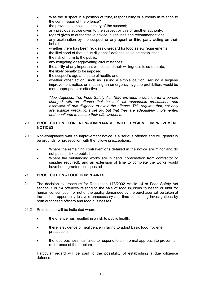- Was the suspect in a position of trust, responsibility or authority in relation to the commission of the offence?
- the previous compliance history of the suspect;
- any previous advice given to the suspect by this or another authority;
- regard given to authoritative advice, guidelines and recommendations;
- any explanation by the suspect or any agent or third party acting on their behalf;
- whether there has been reckless disregard for food safety requirements;
- the likelihood of that a due diligence\* defence could be established;
- the risk of harm to the public;
- any mitigating or aggravating circumstances;
- the ability of any important witness and their willingness to co-operate;
- the likely penalty to be imposed;
- the suspect's age and state of health; and
- whether other action, such as issuing a simple caution, serving a hygiene improvement notice, or imposing an emergency hygiene prohibition, would be more appropriate or effective.

*\*due diligence: The Food Safety Act 1990 provides a defence for a person charged with an offence that he took all reasonable precautions and exercised all due diligence to avoid the offence. This requires that, not only are suitable precautions set up, but that they are adequately implemented and monitored to ensure their effectiveness.*

#### **20. PROSECUTION FOR NON-COMPLIANCE WITH HYGIENE IMPROVEMENT NOTICES**

- 20.1 Non-compliance with an improvement notice is a serious offence and will generally be grounds for prosecution with the following exceptions:
	- Where the remaining contraventions detailed in the notice are minor and do not pose a risk to public health.
	- Where the outstanding works are in hand (confirmation from contractor or supplier required), and an extension of time to complete the works would have been granted, if requested.

#### **21. PROSECUTION - FOOD COMPLAINTS**

- 21.1 The decision to prosecute for Regulation 178/2002 Article 14 or Food Safety Act section 7 or 14 offences relating to the sale of food injurious to health or unfit for human consumption, or not of the quality demanded by the purchaser will be taken at the earliest opportunity to avoid unnecessary and time consuming investigations by both authorised officers and food businesses.
- 21.2 Prosecution will be indicated where:
	- the offence has resulted in a risk to public health;
	- there is evidence of negligence in failing to adopt basic food hygiene precautions;
	- the food business has failed to respond to an informal approach to prevent a recurrence of the problem.

Particular regard will be paid to the possibility of establishing a due diligence defence.